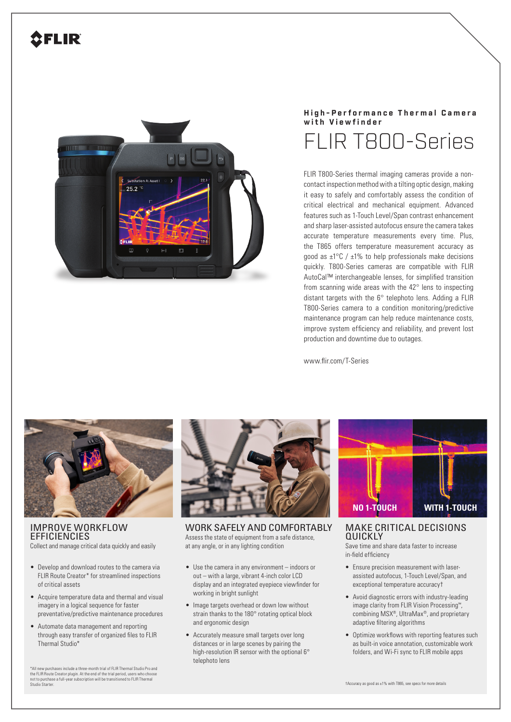## **2FLIR**



## **High-Performance Thermal Camera with Viewfinder** FLIR T800-Series

FLIR T800-Series thermal imaging cameras provide a noncontact inspection method with a tilting optic design, making it easy to safely and comfortably assess the condition of critical electrical and mechanical equipment. Advanced features such as 1-Touch Level/Span contrast enhancement and sharp laser-assisted autofocus ensure the camera takes accurate temperature measurements every time. Plus, the T865 offers temperature measurement accuracy as good as  $\pm$ 1°C /  $\pm$ 1% to help professionals make decisions quickly. T800-Series cameras are compatible with FLIR AutoCal™ interchangeable lenses, for simplified transition from scanning wide areas with the 42° lens to inspecting distant targets with the 6° telephoto lens. Adding a FLIR T800-Series camera to a condition monitoring/predictive maintenance program can help reduce maintenance costs, improve system efficiency and reliability, and prevent lost production and downtime due to outages.

www.flir.com/T-Series



IMPROVE WORKFLOW **EFFICIENCIES** Collect and manage critical data quickly and easily

- Develop and download routes to the camera via FLIR Route Creator\* for streamlined inspections of critical assets
- Acquire temperature data and thermal and visual imagery in a logical sequence for faster preventative/predictive maintenance procedures
- Automate data management and reporting through easy transfer of organized files to FLIR Thermal Studio\*

\*All new purchases include a three-month trial of FLIR Thermal Studio Pro and<br>the FLIR Route Creator plugin. At the end of the trial period, users who choose<br>not to purchase a full-year subscription will be transitioned to Studio Starter.



WORK SAFELY AND COMFORTABLY Assess the state of equipment from a safe distance, at any angle, or in any lighting condition

- Use the camera in any environment indoors or out – with a large, vibrant 4-inch color LCD display and an integrated eyepiece viewfinder for working in bright sunlight
- Image targets overhead or down low without strain thanks to the 180° rotating optical block and ergonomic design
- Accurately measure small targets over long distances or in large scenes by pairing the high-resolution IR sensor with the optional 6° telephoto lens



MAKE CRITICAL DECISIONS **OUICKIY** 

Save time and share data faster to increase in-field efficiency

- Ensure precision measurement with laserassisted autofocus, 1-Touch Level/Span, and exceptional temperature accuracy†
- Avoid diagnostic errors with industry-leading image clarity from FLIR Vision Processing™, combining MSX®, UltraMax®, and proprietary adaptive filtering algorithms
- Optimize workflows with reporting features such as built-in voice annotation, customizable work folders, and Wi-Fi sync to FLIR mobile apps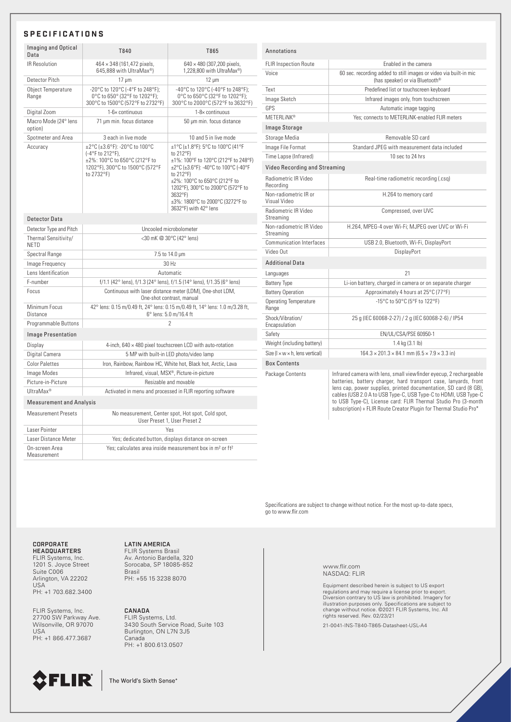## **SPECIFICATIONS**

| Imaging and Optical<br>Data         | T840                                                                                                                                | T865                                                                                                                                                                                                                                                                                                 |
|-------------------------------------|-------------------------------------------------------------------------------------------------------------------------------------|------------------------------------------------------------------------------------------------------------------------------------------------------------------------------------------------------------------------------------------------------------------------------------------------------|
| <b>IR Resolution</b>                | 464 × 348 (161,472 pixels,<br>645,888 with UltraMax®)                                                                               | 640 × 480 (307,200 pixels,<br>1,228,800 with UltraMax®)                                                                                                                                                                                                                                              |
| Detector Pitch                      | $17 \mu m$                                                                                                                          | $12 \mu m$                                                                                                                                                                                                                                                                                           |
| Object Temperature<br>Range         | -20°C to 120°C (-4°F to 248°F);<br>0°C to 650° (32°F to 1202°F);<br>300°C to 1500°C (572°F to 2732°F)                               | -40°C to 120°C (-40°F to 248°F):<br>0°C to 650°C (32°F to 1202°F);<br>300°C to 2000°C (572°F to 3632°F)                                                                                                                                                                                              |
| Digital Zoom                        | 1-6x continuous                                                                                                                     | $1-8 \times$ continuous                                                                                                                                                                                                                                                                              |
| Macro Mode (24° lens<br>option)     | 71 µm min. focus distance                                                                                                           | 50 µm min. focus distance                                                                                                                                                                                                                                                                            |
| Spotmeter and Area                  | 3 each in live mode                                                                                                                 | 10 and 5 in live mode                                                                                                                                                                                                                                                                                |
| Accuracy                            | ±2°C (±3.6°F): -20°C to 100°C<br>(-4°F to 212°F),<br>±2%: 100°C to 650°C (212°F to<br>1202°F), 300°C to 1500°C (572°F<br>to 2732°F) | ±1°C (±1.8°F): 5°C to 100°C (41°F<br>to 212°F)<br>±1%: 100°F to 120°C (212°F to 248°F)<br>±2°C (±3.6°F): -40°C to 100°C (-40°F<br>to $212^{\circ}F$ )<br>±2%: 100°C to 650°C (212°F to<br>1202°F), 300°C to 2000°C (572°F to<br>3632°F)<br>±3%: 1800°C to 2000°C (3272°F to<br>3632°F) with 42° lens |
| Detector Data                       |                                                                                                                                     |                                                                                                                                                                                                                                                                                                      |
| Detector Type and Pitch             | Uncooled microbolometer                                                                                                             |                                                                                                                                                                                                                                                                                                      |
| Thermal Sensitivity/<br><b>NFTD</b> | <30 mK @ 30°C (42° lens)                                                                                                            |                                                                                                                                                                                                                                                                                                      |
| Spectral Range                      | 7.5 to 14.0 µm                                                                                                                      |                                                                                                                                                                                                                                                                                                      |
| Image Frequency                     | 30 Hz                                                                                                                               |                                                                                                                                                                                                                                                                                                      |
| Lens Identification                 | Automatic                                                                                                                           |                                                                                                                                                                                                                                                                                                      |
| F-number                            | f/1.1 (42° lens), f/1.3 (24° lens), f/1.5 (14° lens), f/1.35 (6° lens)                                                              |                                                                                                                                                                                                                                                                                                      |
| Focus                               | Continuous with laser distance meter (LDM), One-shot LDM,<br>One-shot contrast, manual                                              |                                                                                                                                                                                                                                                                                                      |
| Minimum Focus<br>Distance           | 42° lens: 0.15 m/0.49 ft, 24° lens: 0.15 m/0.49 ft, 14° lens: 1.0 m/3.28 ft,<br>6° lens: 5.0 m/16.4 ft                              |                                                                                                                                                                                                                                                                                                      |
| Programmable Buttons                | $\mathfrak{p}$                                                                                                                      |                                                                                                                                                                                                                                                                                                      |
| <b>Image Presentation</b>           |                                                                                                                                     |                                                                                                                                                                                                                                                                                                      |
| Display                             | 4-inch, $640 \times 480$ pixel touchscreen LCD with auto-rotation                                                                   |                                                                                                                                                                                                                                                                                                      |
| Digital Camera                      | 5 MP with built-in LED photo/video lamp                                                                                             |                                                                                                                                                                                                                                                                                                      |
| <b>Color Palettes</b>               | Iron, Rainbow, Rainbow HC, White hot, Black hot, Arctic, Lava                                                                       |                                                                                                                                                                                                                                                                                                      |
| Image Modes                         | Infrared, visual, MSX®, Picture-in-picture                                                                                          |                                                                                                                                                                                                                                                                                                      |
| Picture-in-Picture                  | Resizable and movable                                                                                                               |                                                                                                                                                                                                                                                                                                      |
| UltraMax <sup>®</sup>               | Activated in menu and processed in FLIR reporting software                                                                          |                                                                                                                                                                                                                                                                                                      |
| <b>Measurement and Analysis</b>     |                                                                                                                                     |                                                                                                                                                                                                                                                                                                      |
| <b>Measurement Presets</b>          | No measurement, Center spot, Hot spot, Cold spot,<br>User Preset 1, User Preset 2                                                   |                                                                                                                                                                                                                                                                                                      |
| Laser Pointer                       | Yes                                                                                                                                 |                                                                                                                                                                                                                                                                                                      |
| Laser Distance Meter                | Yes; dedicated button, displays distance on-screen                                                                                  |                                                                                                                                                                                                                                                                                                      |
| On-screen Area<br>Measurement       | Yes; calculates area inside measurement box in m <sup>2</sup> or ft <sup>2</sup>                                                    |                                                                                                                                                                                                                                                                                                      |

| Annotations                                   |                                                                                                                                                                                                                                                                                                                                                                                                                      |  |  |
|-----------------------------------------------|----------------------------------------------------------------------------------------------------------------------------------------------------------------------------------------------------------------------------------------------------------------------------------------------------------------------------------------------------------------------------------------------------------------------|--|--|
| <b>FLIR Inspection Route</b>                  | Fnabled in the camera                                                                                                                                                                                                                                                                                                                                                                                                |  |  |
| Voice                                         | 60 sec. recording added to still images or video via built-in mic<br>(has speaker) or via Bluetooth®                                                                                                                                                                                                                                                                                                                 |  |  |
| Text                                          | Predefined list or touchscreen keyboard                                                                                                                                                                                                                                                                                                                                                                              |  |  |
| Image Sketch                                  | Infrared images only, from touchscreen                                                                                                                                                                                                                                                                                                                                                                               |  |  |
| <b>GPS</b>                                    | Automatic image tagging                                                                                                                                                                                                                                                                                                                                                                                              |  |  |
| <b>METERLINK®</b>                             | Yes; connects to METERLINK-enabled FLIR meters                                                                                                                                                                                                                                                                                                                                                                       |  |  |
| Image Storage                                 |                                                                                                                                                                                                                                                                                                                                                                                                                      |  |  |
| Storage Media                                 | Removable SD card                                                                                                                                                                                                                                                                                                                                                                                                    |  |  |
| Image File Format                             | Standard JPEG with measurement data included                                                                                                                                                                                                                                                                                                                                                                         |  |  |
| Time Lapse (Infrared)                         | 10 sec to 24 hrs                                                                                                                                                                                                                                                                                                                                                                                                     |  |  |
| Video Recording and Streaming                 |                                                                                                                                                                                                                                                                                                                                                                                                                      |  |  |
| Radiometric IR Video<br>Recording             | Real-time radiometric recording (.csq)                                                                                                                                                                                                                                                                                                                                                                               |  |  |
| Non-radiometric IR or<br>Visual Video         | H.264 to memory card                                                                                                                                                                                                                                                                                                                                                                                                 |  |  |
| Radiometric IR Video<br>Streaming             | Compressed, over UVC                                                                                                                                                                                                                                                                                                                                                                                                 |  |  |
| Non-radiometric IR Video<br>Streaming         | H.264, MPEG-4 over Wi-Fi; MJPEG over UVC or Wi-Fi                                                                                                                                                                                                                                                                                                                                                                    |  |  |
| <b>Communication Interfaces</b>               | USB 2.0, Bluetooth, Wi-Fi, DisplayPort                                                                                                                                                                                                                                                                                                                                                                               |  |  |
| Video Out                                     | DisplayPort                                                                                                                                                                                                                                                                                                                                                                                                          |  |  |
| <b>Additional Data</b>                        |                                                                                                                                                                                                                                                                                                                                                                                                                      |  |  |
| Languages                                     | 21                                                                                                                                                                                                                                                                                                                                                                                                                   |  |  |
| <b>Battery Type</b>                           | Li-ion battery, charged in camera or on separate charger                                                                                                                                                                                                                                                                                                                                                             |  |  |
| <b>Battery Operation</b>                      | Approximately 4 hours at 25°C (77°F)                                                                                                                                                                                                                                                                                                                                                                                 |  |  |
| <b>Operating Temperature</b><br>Range         | -15°C to 50°C (5°F to 122°F)                                                                                                                                                                                                                                                                                                                                                                                         |  |  |
| Shock/Vibration/<br>Encapsulation             | 25 g (IEC 60068-2-27) / 2 g (IEC 60068-2-6) / IP54                                                                                                                                                                                                                                                                                                                                                                   |  |  |
| Safety                                        | EN/UL/CSA/PSE 60950-1                                                                                                                                                                                                                                                                                                                                                                                                |  |  |
| Weight (including battery)                    | 1.4 kg (3.1 lb)                                                                                                                                                                                                                                                                                                                                                                                                      |  |  |
| Size ( $l \times w \times h$ , lens vertical) | $164.3 \times 201.3 \times 84.1$ mm $(6.5 \times 7.9 \times 3.3$ in)                                                                                                                                                                                                                                                                                                                                                 |  |  |
| <b>Box Contents</b>                           |                                                                                                                                                                                                                                                                                                                                                                                                                      |  |  |
| Package Contents                              | Infrared camera with lens, small viewfinder eyecup, 2 rechargeable<br>batteries, battery charger, hard transport case, lanyards, front<br>lens cap, power supplies, printed documentation, SD card (8 GB),<br>cables (USB 2.0 A to USB Type-C, USB Type-C to HDMI, USB Type-C<br>to USB Type-C), License card: FLIR Thermal Studio Pro (3-month<br>subscription) + FLIR Route Creator Plugin for Thermal Studio Pro* |  |  |

Specifications are subject to change without notice. For the most up-to-date specs, go to www.flir.com

CORPORATE HEADQUARTERS FLIR Systems, Inc. 1201 S. Joyce Street Suite C006 Arlington, VA 22202 USA<sup>T</sup> PH: +1 703.682.3400

FLIR Systems, Inc. 27700 SW Parkway Ave. Wilsonville, OR 97070 USA PH: +1 866.477.3687

LATIN AMERICA FLIR Systems Brasil Av. Antonio Bardella, 320 Sorocaba, SP 18085-852 Brasil PH: +55 15 3238 8070

CANADA

FLIR Systems, Ltd. 3430 South Service Road, Suite 103 Burlington, ON L7N 3J5 Canada PH: +1 800.613.0507

www.flir.com NASDAQ: FLIR

Equipment described herein is subject to US export<br>regulations and may require a license prior to export.<br>Diversion contrary to US law is prohibited. Imagery for<br>illustration purposes only. Specifications are subject to<br>ch rights reserved. Rev. 02/23/21

21-0041-INS-T840-T865-Datasheet-USL-A4



The World's Sixth Sense<sup>®</sup>